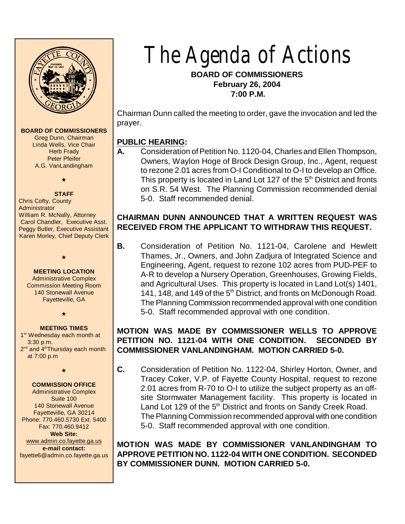

#### **BOARD OF COMMISSIONERS**

Greg Dunn, Chairman Linda Wells, Vice Chair **Herb Frady** Peter Pfeifer A.G. VanLandingham

# $\star$

**STAFF** Chris Cofty, County Administrator William R. McNally, Attorney Carol Chandler, Executive Asst. Peggy Butler, Executive Assistant Karen Morley, Chief Deputy Clerk

**MEETING LOCATION** Administrative Complex Commission Meeting Room 140 Stonewall Avenue Fayetteville, GA

 $\bullet$ 

## $\star$ **MEETING TIMES**

1<sup>st</sup> Wednesday each month at 3:30 p.m. 2<sup>nd</sup> and 4<sup>th</sup>Thursday each month at 7:00 p.m

## $\star$ **COMMISSION OFFICE**

Administrative Complex Suite 100 140 Stonewall Avenue Fayetteville, GA 30214 Phone: 770.460.5730 Ext. 5400 Fax: 770.460.9412

**Web Site:** [www.admin.co.fayette.ga.us](http://www.admin.co.fayette.ga.us) **e-mail contact:** fayette6@admin.co.fayette.ga.us The Agenda of Actions

**BOARD OF COMMISSIONERS February 26, 2004 7:00 P.M.**

Chairman Dunn called the meeting to order, gave the invocation and led the prayer.

#### **PUBLIC HEARING:**

**A.** Consideration of Petition No. 1120-04, Charles and Ellen Thompson, Owners, Waylon Hoge of Brock Design Group, Inc., Agent, request to rezone 2.01 acres from O-I Conditional to O-I to develop an Office. This property is located in Land Lot 127 of the  $5<sup>th</sup>$  District and fronts on S.R. 54 West. The Planning Commission recommended denial 5-0. Staff recommended denial.

#### **CHAIRMAN DUNN ANNOUNCED THAT A WRITTEN REQUEST WAS RECEIVED FROM THE APPLICANT TO WITHDRAW THIS REQUEST.**

**B.** Consideration of Petition No. 1121-04, Carolene and Hewlett Thames, Jr., Owners, and John Zadjura of Integrated Science and Engineering, Agent, request to rezone 102 acres from PUD-PEF to A-R to develop a Nursery Operation, Greenhouses, Growing Fields, and Agricultural Uses. This property is located in Land Lot(s) 1401, 141, 148, and 149 of the  $5<sup>th</sup>$  District, and fronts on McDonough Road. The Planning Commission recommended approval with one condition 5-0. Staff recommended approval with one condition.

## **MOTION WAS MADE BY COMMISSIONER WELLS TO APPROVE PETITION NO. 1121-04 WITH ONE CONDITION. SECONDED BY COMMISSIONER VANLANDINGHAM. MOTION CARRIED 5-0.**

**C.** Consideration of Petition No. 1122-04, Shirley Horton, Owner, and Tracey Coker, V.P. of Fayette County Hospital, request to rezone 2.01 acres from R-70 to O-I to utilize the subject property as an offsite Stormwater Management facility. This property is located in Land Lot 129 of the  $5<sup>th</sup>$  District and fronts on Sandy Creek Road. The Planning Commission recommended approval with one condition 5-0. Staff recommended approval with one condition.

**MOTION WAS MADE BY COMMISSIONER VANLANDINGHAM TO APPROVE PETITION NO. 1122-04 WITH ONE CONDITION. SECONDED BY COMMISSIONER DUNN. MOTION CARRIED 5-0.**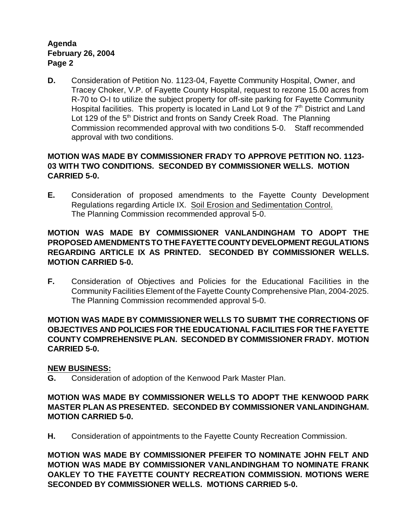**D.** Consideration of Petition No. 1123-04, Fayette Community Hospital, Owner, and Tracey Choker, V.P. of Fayette County Hospital, request to rezone 15.00 acres from R-70 to O-I to utilize the subject property for off-site parking for Fayette Community Hospital facilities. This property is located in Land Lot 9 of the  $7<sup>th</sup>$  District and Land Lot 129 of the  $5<sup>th</sup>$  District and fronts on Sandy Creek Road. The Planning Commission recommended approval with two conditions 5-0. Staff recommended approval with two conditions.

## **MOTION WAS MADE BY COMMISSIONER FRADY TO APPROVE PETITION NO. 1123- 03 WITH TWO CONDITIONS. SECONDED BY COMMISSIONER WELLS. MOTION CARRIED 5-0.**

**E.** Consideration of proposed amendments to the Fayette County Development Regulations regarding Article IX. Soil Erosion and Sedimentation Control. The Planning Commission recommended approval 5-0.

## **MOTION WAS MADE BY COMMISSIONER VANLANDINGHAM TO ADOPT THE PROPOSED AMENDMENTS TO THE FAYETTE COUNTY DEVELOPMENT REGULATIONS REGARDING ARTICLE IX AS PRINTED. SECONDED BY COMMISSIONER WELLS. MOTION CARRIED 5-0.**

**F.** Consideration of Objectives and Policies for the Educational Facilities in the Community Facilities Element of the Fayette County Comprehensive Plan, 2004-2025. The Planning Commission recommended approval 5-0.

#### **MOTION WAS MADE BY COMMISSIONER WELLS TO SUBMIT THE CORRECTIONS OF OBJECTIVES AND POLICIES FOR THE EDUCATIONAL FACILITIES FOR THE FAYETTE COUNTY COMPREHENSIVE PLAN. SECONDED BY COMMISSIONER FRADY. MOTION CARRIED 5-0.**

## **NEW BUSINESS:**

**G.** Consideration of adoption of the Kenwood Park Master Plan.

## **MOTION WAS MADE BY COMMISSIONER WELLS TO ADOPT THE KENWOOD PARK MASTER PLAN AS PRESENTED. SECONDED BY COMMISSIONER VANLANDINGHAM. MOTION CARRIED 5-0.**

**H.** Consideration of appointments to the Fayette County Recreation Commission.

**MOTION WAS MADE BY COMMISSIONER PFEIFER TO NOMINATE JOHN FELT AND MOTION WAS MADE BY COMMISSIONER VANLANDINGHAM TO NOMINATE FRANK OAKLEY TO THE FAYETTE COUNTY RECREATION COMMISSION. MOTIONS WERE SECONDED BY COMMISSIONER WELLS. MOTIONS CARRIED 5-0.**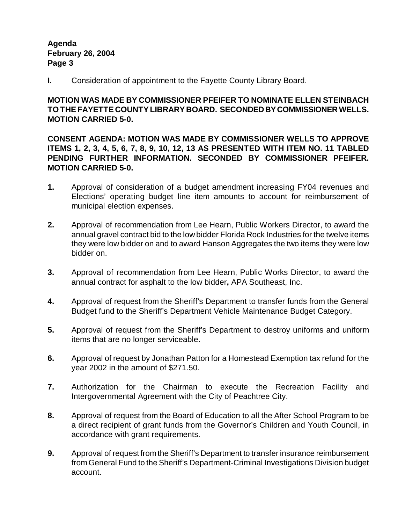**I.** Consideration of appointment to the Fayette County Library Board.

## **MOTION WAS MADE BY COMMISSIONER PFEIFER TO NOMINATE ELLEN STEINBACH TO THE FAYETTE COUNTY LIBRARY BOARD. SECONDED BY COMMISSIONER WELLS. MOTION CARRIED 5-0.**

**CONSENT AGENDA: MOTION WAS MADE BY COMMISSIONER WELLS TO APPROVE ITEMS 1, 2, 3, 4, 5, 6, 7, 8, 9, 10, 12, 13 AS PRESENTED WITH ITEM NO. 11 TABLED PENDING FURTHER INFORMATION. SECONDED BY COMMISSIONER PFEIFER. MOTION CARRIED 5-0.**

- **1.** Approval of consideration of a budget amendment increasing FY04 revenues and Elections' operating budget line item amounts to account for reimbursement of municipal election expenses.
- **2.** Approval of recommendation from Lee Hearn, Public Workers Director, to award the annual gravel contract bid to the low bidder Florida Rock Industries for the twelve items they were low bidder on and to award Hanson Aggregates the two items they were low bidder on.
- **3.** Approval of recommendation from Lee Hearn, Public Works Director, to award the annual contract for asphalt to the low bidder**,** APA Southeast, Inc.
- **4.** Approval of request from the Sheriff's Department to transfer funds from the General Budget fund to the Sheriff's Department Vehicle Maintenance Budget Category.
- **5.** Approval of request from the Sheriff's Department to destroy uniforms and uniform items that are no longer serviceable.
- **6.** Approval of request by Jonathan Patton for a Homestead Exemption tax refund for the year 2002 in the amount of \$271.50.
- **7.** Authorization for the Chairman to execute the Recreation Facility and Intergovernmental Agreement with the City of Peachtree City.
- **8.** Approval of request from the Board of Education to all the After School Program to be a direct recipient of grant funds from the Governor's Children and Youth Council, in accordance with grant requirements.
- **9.** Approval of request from the Sheriff's Department to transfer insurance reimbursement from General Fund to the Sheriff's Department-Criminal Investigations Division budget account.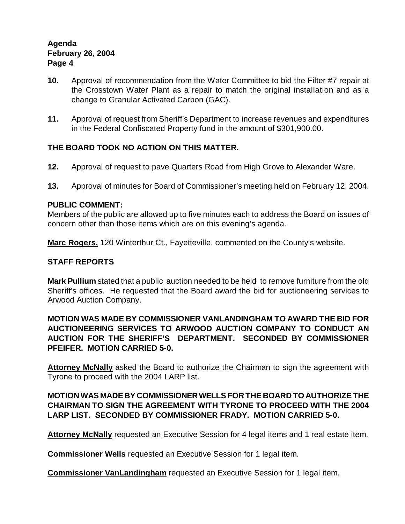- **10.** Approval of recommendation from the Water Committee to bid the Filter #7 repair at the Crosstown Water Plant as a repair to match the original installation and as a change to Granular Activated Carbon (GAC).
- **11.** Approval of request from Sheriff's Department to increase revenues and expenditures in the Federal Confiscated Property fund in the amount of \$301,900.00.

## **THE BOARD TOOK NO ACTION ON THIS MATTER.**

- **12.** Approval of request to pave Quarters Road from High Grove to Alexander Ware.
- **13.** Approval of minutes for Board of Commissioner's meeting held on February 12, 2004.

#### **PUBLIC COMMENT:**

Members of the public are allowed up to five minutes each to address the Board on issues of concern other than those items which are on this evening's agenda.

**Marc Rogers,** 120 Winterthur Ct., Fayetteville, commented on the County's website.

## **STAFF REPORTS**

**Mark Pullium** stated that a public auction needed to be held to remove furniture from the old Sheriff's offices. He requested that the Board award the bid for auctioneering services to Arwood Auction Company.

#### **MOTION WAS MADE BY COMMISSIONER VANLANDINGHAM TO AWARD THE BID FOR AUCTIONEERING SERVICES TO ARWOOD AUCTION COMPANY TO CONDUCT AN AUCTION FOR THE SHERIFF'S DEPARTMENT. SECONDED BY COMMISSIONER PFEIFER. MOTION CARRIED 5-0.**

**Attorney McNally** asked the Board to authorize the Chairman to sign the agreement with Tyrone to proceed with the 2004 LARP list.

#### **MOTION WAS MADE BY COMMISSIONER WELLS FOR THE BOARD TO AUTHORIZE THE CHAIRMAN TO SIGN THE AGREEMENT WITH TYRONE TO PROCEED WITH THE 2004 LARP LIST. SECONDED BY COMMISSIONER FRADY. MOTION CARRIED 5-0.**

**Attorney McNally** requested an Executive Session for 4 legal items and 1 real estate item.

**Commissioner Wells** requested an Executive Session for 1 legal item.

**Commissioner VanLandingham** requested an Executive Session for 1 legal item.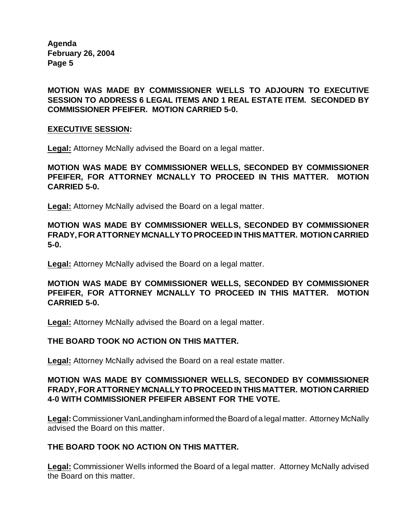**MOTION WAS MADE BY COMMISSIONER WELLS TO ADJOURN TO EXECUTIVE SESSION TO ADDRESS 6 LEGAL ITEMS AND 1 REAL ESTATE ITEM. SECONDED BY COMMISSIONER PFEIFER. MOTION CARRIED 5-0.**

#### **EXECUTIVE SESSION:**

**Legal:** Attorney McNally advised the Board on a legal matter.

**MOTION WAS MADE BY COMMISSIONER WELLS, SECONDED BY COMMISSIONER PFEIFER, FOR ATTORNEY MCNALLY TO PROCEED IN THIS MATTER. MOTION CARRIED 5-0.**

**Legal:** Attorney McNally advised the Board on a legal matter.

**MOTION WAS MADE BY COMMISSIONER WELLS, SECONDED BY COMMISSIONER FRADY, FOR ATTORNEY MCNALLY TO PROCEED IN THIS MATTER. MOTION CARRIED 5-0.**

**Legal:** Attorney McNally advised the Board on a legal matter.

**MOTION WAS MADE BY COMMISSIONER WELLS, SECONDED BY COMMISSIONER PFEIFER, FOR ATTORNEY MCNALLY TO PROCEED IN THIS MATTER. MOTION CARRIED 5-0.**

**Legal:** Attorney McNally advised the Board on a legal matter.

#### **THE BOARD TOOK NO ACTION ON THIS MATTER.**

**Legal:** Attorney McNally advised the Board on a real estate matter.

#### **MOTION WAS MADE BY COMMISSIONER WELLS, SECONDED BY COMMISSIONER FRADY, FOR ATTORNEY MCNALLY TO PROCEED IN THIS MATTER. MOTION CARRIED 4-0 WITH COMMISSIONER PFEIFER ABSENT FOR THE VOTE.**

**Legal:** Commissioner VanLandingham informed the Board of a legal matter. Attorney McNally advised the Board on this matter.

#### **THE BOARD TOOK NO ACTION ON THIS MATTER.**

**Legal:** Commissioner Wells informed the Board of a legal matter. Attorney McNally advised the Board on this matter.